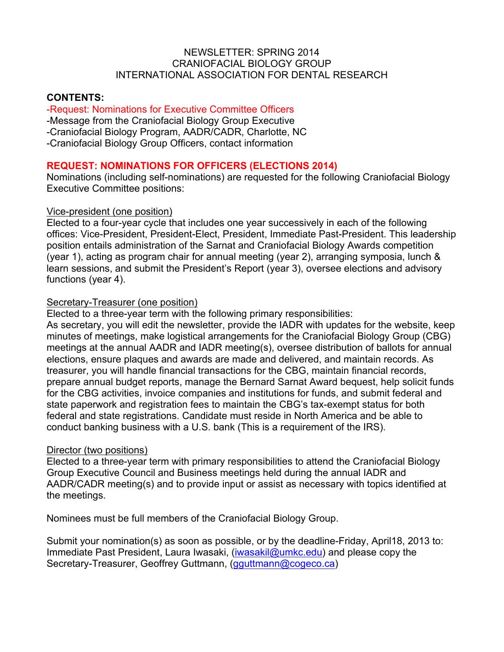## NEWSLETTER: SPRING 2014 CRANIOFACIAL BIOLOGY GROUP INTERNATIONAL ASSOCIATION FOR DENTAL RESEARCH

## **CONTENTS:**

## -Request: Nominations for Executive Committee Officers

-Message from the Craniofacial Biology Group Executive

-Craniofacial Biology Program, AADR/CADR, Charlotte, NC

-Craniofacial Biology Group Officers, contact information

## **REQUEST: NOMINATIONS FOR OFFICERS (ELECTIONS 2014)**

Nominations (including self-nominations) are requested for the following Craniofacial Biology Executive Committee positions:

#### Vice-president (one position)

Elected to a four-year cycle that includes one year successively in each of the following offices: Vice-President, President-Elect, President, Immediate Past-President. This leadership position entails administration of the Sarnat and Craniofacial Biology Awards competition (year 1), acting as program chair for annual meeting (year 2), arranging symposia, lunch & learn sessions, and submit the President's Report (year 3), oversee elections and advisory functions (year 4).

#### Secretary-Treasurer (one position)

Elected to a three-year term with the following primary responsibilities:

As secretary, you will edit the newsletter, provide the IADR with updates for the website, keep minutes of meetings, make logistical arrangements for the Craniofacial Biology Group (CBG) meetings at the annual AADR and IADR meeting(s), oversee distribution of ballots for annual elections, ensure plaques and awards are made and delivered, and maintain records. As treasurer, you will handle financial transactions for the CBG, maintain financial records, prepare annual budget reports, manage the Bernard Sarnat Award bequest, help solicit funds for the CBG activities, invoice companies and institutions for funds, and submit federal and state paperwork and registration fees to maintain the CBG's tax-exempt status for both federal and state registrations. Candidate must reside in North America and be able to conduct banking business with a U.S. bank (This is a requirement of the IRS).

#### Director (two positions)

Elected to a three-year term with primary responsibilities to attend the Craniofacial Biology Group Executive Council and Business meetings held during the annual IADR and AADR/CADR meeting(s) and to provide input or assist as necessary with topics identified at the meetings.

Nominees must be full members of the Craniofacial Biology Group.

Submit your nomination(s) as soon as possible, or by the deadline-Friday, April18, 2013 to: Immediate Past President, Laura Iwasaki, (iwasakil@umkc.edu) and please copy the Secretary-Treasurer, Geoffrey Guttmann, (gguttmann@cogeco.ca)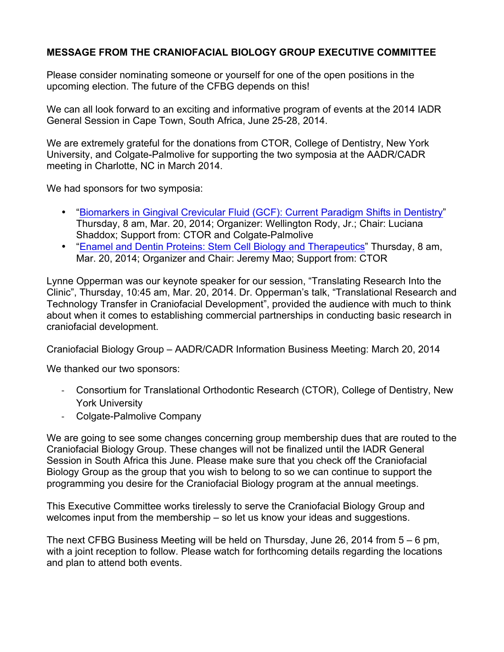# **MESSAGE FROM THE CRANIOFACIAL BIOLOGY GROUP EXECUTIVE COMMITTEE**

Please consider nominating someone or yourself for one of the open positions in the upcoming election. The future of the CFBG depends on this!

We can all look forward to an exciting and informative program of events at the 2014 IADR General Session in Cape Town, South Africa, June 25-28, 2014.

We are extremely grateful for the donations from CTOR, College of Dentistry, New York University, and Colgate-Palmolive for supporting the two symposia at the AADR/CADR meeting in Charlotte, NC in March 2014.

We had sponsors for two symposia:

- "Biomarkers in Gingival Crevicular Fluid (GCF): Current Paradigm Shifts in Dentistry" Thursday, 8 am, Mar. 20, 2014; Organizer: Wellington Rody, Jr.; Chair: Luciana Shaddox; Support from: CTOR and Colgate-Palmolive
- "Enamel and Dentin Proteins: Stem Cell Biology and Therapeutics" Thursday, 8 am, Mar. 20, 2014; Organizer and Chair: Jeremy Mao; Support from: CTOR

Lynne Opperman was our keynote speaker for our session, "Translating Research Into the Clinic", Thursday, 10:45 am, Mar. 20, 2014. Dr. Opperman's talk, "Translational Research and Technology Transfer in Craniofacial Development", provided the audience with much to think about when it comes to establishing commercial partnerships in conducting basic research in craniofacial development.

Craniofacial Biology Group – AADR/CADR Information Business Meeting: March 20, 2014

We thanked our two sponsors:

- Consortium for Translational Orthodontic Research (CTOR), College of Dentistry, New York University
- Colgate-Palmolive Company

We are going to see some changes concerning group membership dues that are routed to the Craniofacial Biology Group. These changes will not be finalized until the IADR General Session in South Africa this June. Please make sure that you check off the Craniofacial Biology Group as the group that you wish to belong to so we can continue to support the programming you desire for the Craniofacial Biology program at the annual meetings.

This Executive Committee works tirelessly to serve the Craniofacial Biology Group and welcomes input from the membership – so let us know your ideas and suggestions.

The next CFBG Business Meeting will be held on Thursday, June 26, 2014 from 5 – 6 pm, with a joint reception to follow. Please watch for forthcoming details regarding the locations and plan to attend both events.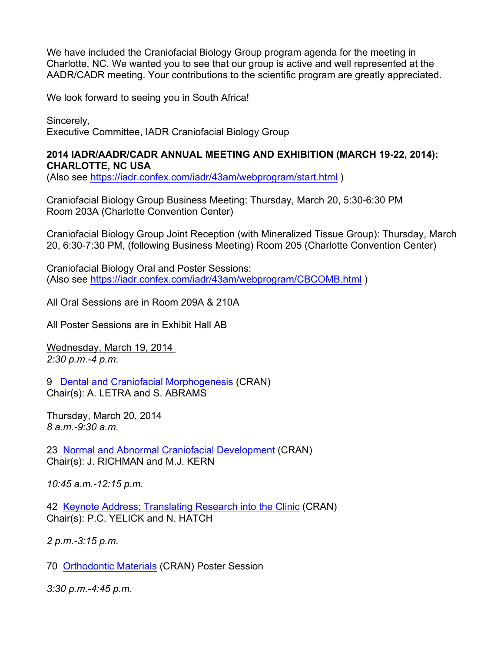We have included the Craniofacial Biology Group program agenda for the meeting in Charlotte, NC. We wanted you to see that our group is active and well represented at the AADR/CADR meeting. Your contributions to the scientific program are greatly appreciated.

We look forward to seeing you in South Africa!

Sincerely, Executive Committee, IADR Craniofacial Biology Group

## **2014 IADR/AADR/CADR ANNUAL MEETING AND EXHIBITION (MARCH 19-22, 2014): CHARLOTTE, NC USA**

(Also see https://iadr.confex.com/iadr/43am/webprogram/start.html )

Craniofacial Biology Group Business Meeting: Thursday, March 20, 5:30-6:30 PM Room 203A (Charlotte Convention Center)

Craniofacial Biology Group Joint Reception (with Mineralized Tissue Group): Thursday, March 20, 6:30-7:30 PM, (following Business Meeting) Room 205 (Charlotte Convention Center)

Craniofacial Biology Oral and Poster Sessions: (Also see https://iadr.confex.com/iadr/43am/webprogram/CBCOMB.html )

All Oral Sessions are in Room 209A & 210A

All Poster Sessions are in Exhibit Hall AB

Wednesday, March 19, 2014 *2:30 p.m.-4 p.m.*

9 Dental and Craniofacial Morphogenesis (CRAN) Chair(s): A. LETRA and S. ABRAMS

Thursday, March 20, 2014 *8 a.m.-9:30 a.m.*

23 Normal and Abnormal Craniofacial Development (CRAN) Chair(s): J. RICHMAN and M.J. KERN

*10:45 a.m.-12:15 p.m.*

42 Keynote Address; Translating Research into the Clinic (CRAN) Chair(s): P.C. YELICK and N. HATCH

*2 p.m.-3:15 p.m.*

70 Orthodontic Materials (CRAN) Poster Session

*3:30 p.m.-4:45 p.m.*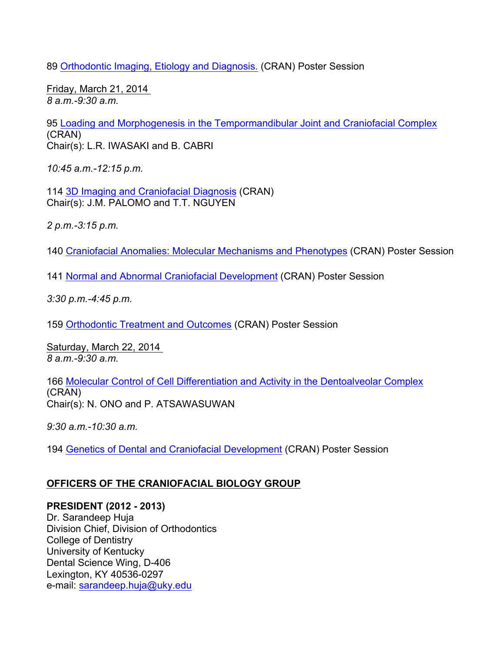89 Orthodontic Imaging, Etiology and Diagnosis. (CRAN) Poster Session

Friday, March 21, 2014 *8 a.m.-9:30 a.m.*

95 Loading and Morphogenesis in the Tempormandibular Joint and Craniofacial Complex (CRAN) Chair(s): L.R. IWASAKI and B. CABRI

*10:45 a.m.-12:15 p.m.*

114 3D Imaging and Craniofacial Diagnosis (CRAN) Chair(s): J.M. PALOMO and T.T. NGUYEN

*2 p.m.-3:15 p.m.*

140 Craniofacial Anomalies: Molecular Mechanisms and Phenotypes (CRAN) Poster Session

141 Normal and Abnormal Craniofacial Development (CRAN) Poster Session

*3:30 p.m.-4:45 p.m.*

159 Orthodontic Treatment and Outcomes (CRAN) Poster Session

Saturday, March 22, 2014 *8 a.m.-9:30 a.m.*

166 Molecular Control of Cell Differentiation and Activity in the Dentoalveolar Complex (CRAN) Chair(s): N. ONO and P. ATSAWASUWAN

*9:30 a.m.-10:30 a.m.*

194 Genetics of Dental and Craniofacial Development (CRAN) Poster Session

# **OFFICERS OF THE CRANIOFACIAL BIOLOGY GROUP**

## **PRESIDENT (2012 - 2013)**

Dr. Sarandeep Huja Division Chief, Division of Orthodontics College of Dentistry University of Kentucky Dental Science Wing, D-406 Lexington, KY 40536-0297 e-mail: sarandeep.huja@uky.edu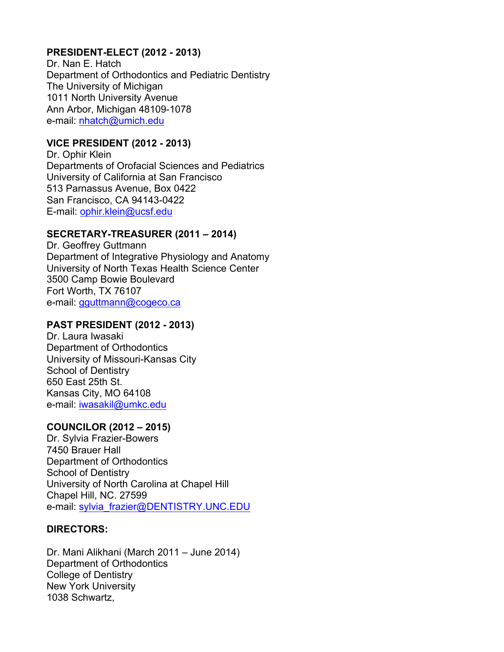# **PRESIDENT-ELECT (2012 - 2013)**

Dr. Nan E. Hatch Department of Orthodontics and Pediatric Dentistry The University of Michigan 1011 North University Avenue Ann Arbor, Michigan 48109-1078 e-mail: nhatch@umich.edu

# **VICE PRESIDENT (2012 - 2013)**

Dr. Ophir Klein Departments of Orofacial Sciences and Pediatrics University of California at San Francisco 513 Parnassus Avenue, Box 0422 San Francisco, CA 94143-0422 E-mail: ophir.klein@ucsf.edu

# **SECRETARY-TREASURER (2011 – 2014)**

Dr. Geoffrey Guttmann Department of Integrative Physiology and Anatomy University of North Texas Health Science Center 3500 Camp Bowie Boulevard Fort Worth, TX 76107 e-mail: gguttmann@cogeco.ca

# **PAST PRESIDENT (2012 - 2013)**

Dr. Laura Iwasaki Department of Orthodontics University of Missouri-Kansas City School of Dentistry 650 East 25th St. Kansas City, MO 64108 e-mail: iwasakil@umkc.edu

## **COUNCILOR (2012 – 2015)**

Dr. Sylvia Frazier-Bowers 7450 Brauer Hall Department of Orthodontics School of Dentistry University of North Carolina at Chapel Hill Chapel Hill, NC. 27599 e-mail: sylvia\_frazier@DENTISTRY.UNC.EDU

## **DIRECTORS:**

Dr. Mani Alikhani (March 2011 – June 2014) Department of Orthodontics College of Dentistry New York University 1038 Schwartz,